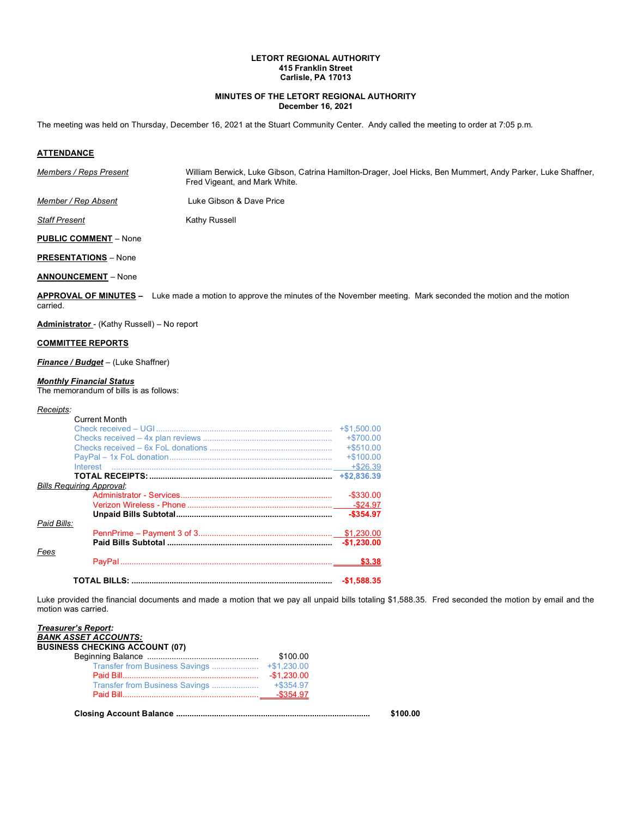## **LETORT REGIONAL AUTHORITY 415 Franklin Street Carlisle, PA 17013**

## **MINUTES OF THE LETORT REGIONAL AUTHORITY December 16, 2021**

The meeting was held on Thursday, December 16, 2021 at the Stuart Community Center. Andy called the meeting to order at 7:05 p.m*.*

## **ATTENDANCE**

| Members / Reps Present | William Berwick, Luke Gibson, Catrina Hamilton-Drager, Joel Hicks, Ben Mummert, Andy Parker, Luke Shaffner,<br>Fred Vigeant, and Mark White. |
|------------------------|----------------------------------------------------------------------------------------------------------------------------------------------|
|                        | .                                                                                                                                            |

*Member / Rep Absent* **Luke Gibson & Dave Price** 

**Staff Present** Kathy Russell

**PUBLIC COMMENT** – None

**PRESENTATIONS** – None

## **ANNOUNCEMENT** – None

**APPROVAL OF MINUTES –** Luke made a motion to approve the minutes of the November meeting. Mark seconded the motion and the motion carried.

**Administrator** - (Kathy Russell) – No report

#### **COMMITTEE REPORTS**

*Finance / Budget* – (Luke Shaffner)

#### *Monthly Financial Status*

The memorandum of bills is as follows:

#### *Receipts:*

| <b>Current Month</b>                             |              |
|--------------------------------------------------|--------------|
|                                                  |              |
|                                                  | $+ $700.00$  |
|                                                  | $+$ \$510.00 |
|                                                  | $+$100.00$   |
| <u> Interest …………………………………………………………………………………</u> | $+ $26.39$   |
|                                                  |              |
| <b>Bills Requiring Approval:</b>                 |              |
|                                                  | $-$ \$330.00 |
|                                                  |              |
|                                                  | $-$ \$354.97 |
| Paid Bills:                                      |              |
|                                                  |              |
|                                                  | $-$1,230,00$ |
| Fees                                             |              |
|                                                  | \$3.38       |
|                                                  | $-$1.588.35$ |

Luke provided the financial documents and made a motion that we pay all unpaid bills totaling \$1,588.35. Fred seconded the motion by email and the motion was carried.

| <b>BUSINESS CHECKING ACCOUNT (07)</b> |          |  |
|---------------------------------------|----------|--|
|                                       | \$100.00 |  |
|                                       |          |  |
|                                       |          |  |
|                                       |          |  |
|                                       |          |  |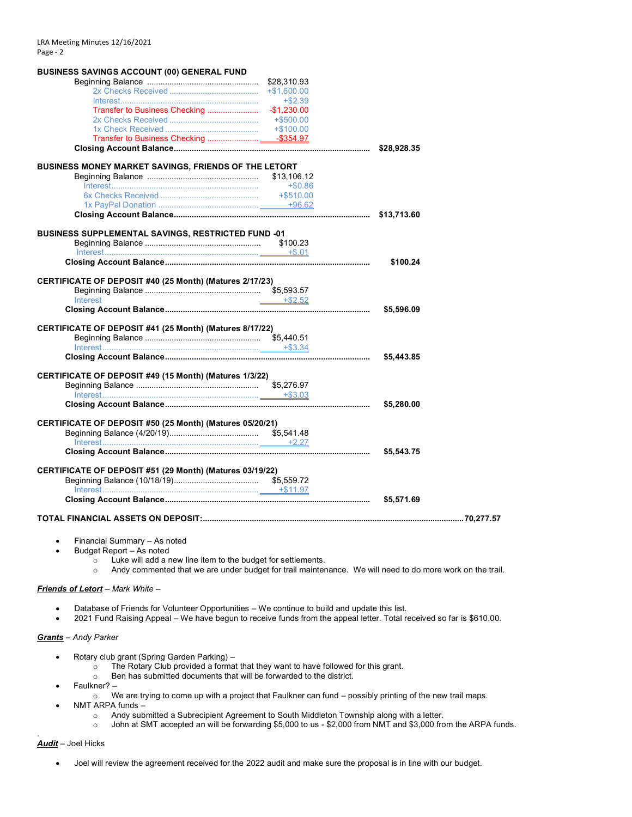| <b>BUSINESS SAVINGS ACCOUNT (00) GENERAL FUND</b>                                               |               |            |  |
|-------------------------------------------------------------------------------------------------|---------------|------------|--|
|                                                                                                 | \$28,310.93   |            |  |
|                                                                                                 | $+ $1,600.00$ |            |  |
|                                                                                                 | $+ $2.39$     |            |  |
|                                                                                                 |               |            |  |
|                                                                                                 |               |            |  |
|                                                                                                 |               |            |  |
|                                                                                                 |               |            |  |
|                                                                                                 |               |            |  |
|                                                                                                 |               |            |  |
| BUSINESS MONEY MARKET SAVINGS, FRIENDS OF THE LETORT                                            |               |            |  |
|                                                                                                 |               |            |  |
| $\textbf{Interest}.\textcolor{red}{\textbf{50.86}} \textbf{+}\textcolor{red}{\$} \textbf{0.86}$ |               |            |  |
|                                                                                                 |               |            |  |
|                                                                                                 |               |            |  |
|                                                                                                 |               |            |  |
| <b>BUSINESS SUPPLEMENTAL SAVINGS, RESTRICTED FUND -01</b>                                       |               |            |  |
|                                                                                                 |               |            |  |
|                                                                                                 |               |            |  |
|                                                                                                 |               | \$100.24   |  |
|                                                                                                 |               |            |  |
| CERTIFICATE OF DEPOSIT #40 (25 Month) (Matures 2/17/23)                                         |               |            |  |
|                                                                                                 |               |            |  |
| Interest                                                                                        | $-$ +\$2.52   |            |  |
|                                                                                                 |               | \$5,596.09 |  |
|                                                                                                 |               |            |  |
| CERTIFICATE OF DEPOSIT #41 (25 Month) (Matures 8/17/22)                                         |               |            |  |
|                                                                                                 |               |            |  |
|                                                                                                 |               |            |  |
|                                                                                                 |               | \$5,443.85 |  |
|                                                                                                 |               |            |  |
| CERTIFICATE OF DEPOSIT #49 (15 Month) (Matures 1/3/22)                                          |               |            |  |
|                                                                                                 |               |            |  |
|                                                                                                 |               |            |  |
|                                                                                                 |               | \$5,280.00 |  |
|                                                                                                 |               |            |  |
| CERTIFICATE OF DEPOSIT #50 (25 Month) (Matures 05/20/21)                                        |               |            |  |
|                                                                                                 |               |            |  |
|                                                                                                 |               |            |  |
|                                                                                                 |               | \$5,543.75 |  |
| CERTIFICATE OF DEPOSIT #51 (29 Month) (Matures 03/19/22)                                        |               |            |  |
|                                                                                                 |               |            |  |
|                                                                                                 |               |            |  |
|                                                                                                 |               | \$5,571.69 |  |
|                                                                                                 |               |            |  |
|                                                                                                 |               |            |  |
|                                                                                                 |               |            |  |

- Financial Summary As noted
- Budget Report As noted
	- $\sim$  Luke will add a new line item to the budget for settlements.
	- o Andy commented that we are under budget for trail maintenance. We will need to do more work on the trail.

## *Friends of Letort* – *Mark White* –

- Database of Friends for Volunteer Opportunities We continue to build and update this list.
- 2021 Fund Raising Appeal We have begun to receive funds from the appeal letter. Total received so far is \$610.00.

## *Grants* – *Andy Parker*

- Rotary club grant (Spring Garden Parking)
	- o The Rotary Club provided a format that they want to have followed for this grant.
	- o Ben has submitted documents that will be forwarded to the district.
- Faulkner?
	- o We are trying to come up with a project that Faulkner can fund possibly printing of the new trail maps.
- NMT ARPA funds
	- o Andy submitted a Subrecipient Agreement to South Middleton Township along with a letter.
	- o John at SMT accepted an will be forwarding \$5,000 to us \$2,000 from NMT and \$3,000 from the ARPA funds.

#### *Audit* – Joel Hicks

.

• Joel will review the agreement received for the 2022 audit and make sure the proposal is in line with our budget.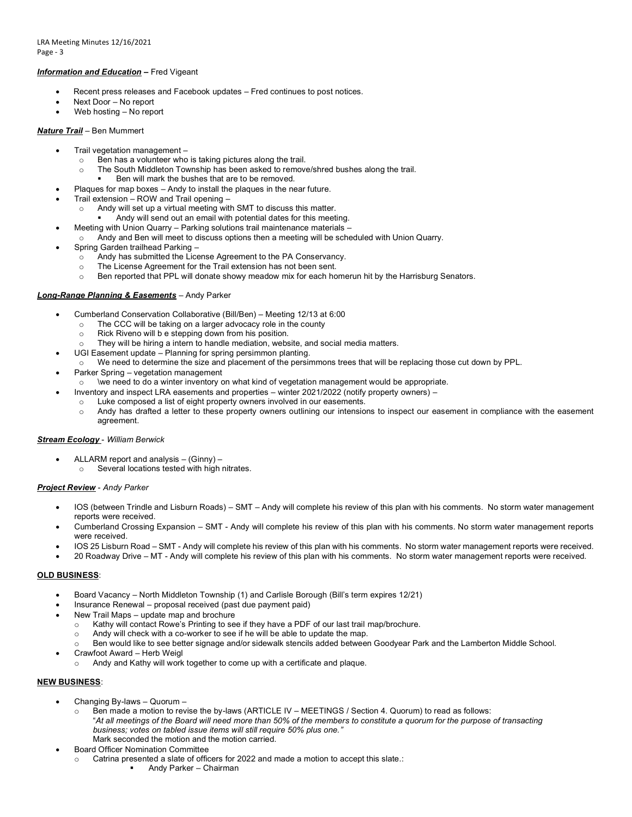## *Information and Education* **–** Fred Vigeant

- Recent press releases and Facebook updates Fred continues to post notices.
- Next Door No report
- Web hosting No report

## *Nature Trail* – Ben Mummert

- Trail vegetation management
	- o Ben has a volunteer who is taking pictures along the trail.
	- $\circ$  The South Middleton Township has been asked to remove/shred bushes along the trail.
		- Ben will mark the bushes that are to be removed.
	- Plaques for map boxes Andy to install the plaques in the near future.
- Trail extension ROW and Trail opening
	- o Andy will set up a virtual meeting with SMT to discuss this matter.
	- Andy will send out an email with potential dates for this meeting.
	- Meeting with Union Quarry Parking solutions trail maintenance materials –
- Andy and Ben will meet to discuss options then a meeting will be scheduled with Union Quarry.
- Spring Garden trailhead Parking
	- $\overrightarrow{0}$  Andy has submitted the License Agreement to the PA Conservancy.
	- o The License Agreement for the Trail extension has not been sent.
	- o Ben reported that PPL will donate showy meadow mix for each homerun hit by the Harrisburg Senators.

## *Long-Range Planning & Easements* – Andy Parker

- Cumberland Conservation Collaborative (Bill/Ben) Meeting 12/13 at 6:00
	- o The CCC will be taking on a larger advocacy role in the county
	- o Rick Riveno will b e stepping down from his position.
	- $\circ$  They will be hiring a intern to handle mediation, website, and social media matters.
	- UGI Easement update Planning for spring persimmon planting.
- o We need to determine the size and placement of the persimmons trees that will be replacing those cut down by PPL.
- Parker Spring vegetation management
- $\circ$  \we need to do a winter inventory on what kind of vegetation management would be appropriate.
- Inventory and inspect LRA easements and properties winter 2021/2022 (notify property owners) –
- Luke composed a list of eight property owners involved in our easements.
	- o Andy has drafted a letter to these property owners outlining our intensions to inspect our easement in compliance with the easement agreement.

# *Stream Ecology* - *William Berwick*

- ALLARM report and analysis (Ginny)
	- o Several locations tested with high nitrates.

## *Project Review* - *Andy Parker*

- IOS (between Trindle and Lisburn Roads) SMT Andy will complete his review of this plan with his comments. No storm water management reports were received.
- Cumberland Crossing Expansion SMT Andy will complete his review of this plan with his comments. No storm water management reports were received.
- IOS 25 Lisburn Road SMT Andy will complete his review of this plan with his comments. No storm water management reports were received.
- 20 Roadway Drive MT Andy will complete his review of this plan with his comments. No storm water management reports were received.

## **OLD BUSINESS**:

- Board Vacancy North Middleton Township (1) and Carlisle Borough (Bill's term expires 12/21)
- Insurance Renewal proposal received (past due payment paid)
- New Trail Maps update map and brochure
	- o Kathy will contact Rowe's Printing to see if they have a PDF of our last trail map/brochure.
	- o Andy will check with a co-worker to see if he will be able to update the map.
	- o Ben would like to see better signage and/or sidewalk stencils added between Goodyear Park and the Lamberton Middle School.
- Crawfoot Award Herb Weigl
	- Andy and Kathy will work together to come up with a certificate and plaque.

## **NEW BUSINESS**:

- Changing By-laws Quorum
	- o Ben made a motion to revise the by-laws (ARTICLE IV MEETINGS / Section 4. Quorum) to read as follows: "*At all meetings of the Board will need more than 50% of the members to constitute a quorum for the purpose of transacting business; votes on tabled issue items will still require 50% plus one."* Mark seconded the motion and the motion carried.
- Board Officer Nomination Committee
	- Catrina presented a slate of officers for 2022 and made a motion to accept this slate.:
		- Andy Parker Chairman